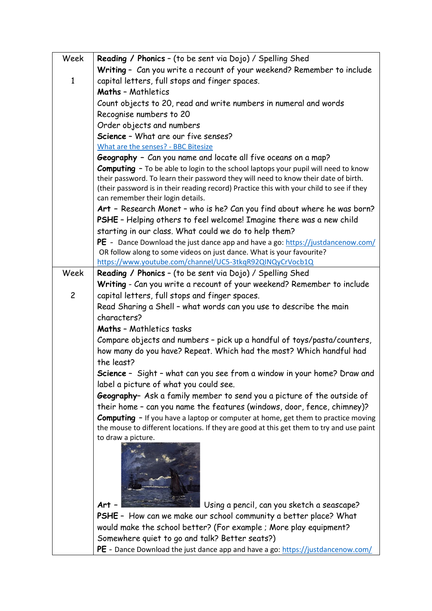| Week           | Reading / Phonics - (to be sent via Dojo) / Spelling Shed                                                      |
|----------------|----------------------------------------------------------------------------------------------------------------|
|                | Writing - Can you write a recount of your weekend? Remember to include                                         |
| $\mathbf{1}$   | capital letters, full stops and finger spaces.                                                                 |
|                | <b>Maths - Mathletics</b>                                                                                      |
|                | Count objects to 20, read and write numbers in numeral and words                                               |
|                | Recognise numbers to 20                                                                                        |
|                | Order objects and numbers                                                                                      |
|                | Science - What are our five senses?                                                                            |
|                | What are the senses? - BBC Bitesize                                                                            |
|                | Geography - Can you name and locate all five oceans on a map?                                                  |
|                | <b>Computing</b> - To be able to login to the school laptops your pupil will need to know                      |
|                | their password. To learn their password they will need to know their date of birth.                            |
|                | (their password is in their reading record) Practice this with your child to see if they                       |
|                | can remember their login details.                                                                              |
|                | Art - Research Monet - who is he? Can you find about where he was born?                                        |
|                | PSHE - Helping others to feel welcome! Imagine there was a new child                                           |
|                | starting in our class. What could we do to help them?                                                          |
|                | PE - Dance Download the just dance app and have a go: https://justdancenow.com/                                |
|                | OR follow along to some videos on just dance. What is your favourite?                                          |
|                | https://www.youtube.com/channel/UC5-3tkqR92QINQyCrVocb1Q                                                       |
| Week           | <b>Reading / Phonics - (to be sent via Dojo) / Spelling Shed</b>                                               |
| $\overline{c}$ | Writing - Can you write a recount of your weekend? Remember to include                                         |
|                | capital letters, full stops and finger spaces.                                                                 |
|                | Read Sharing a Shell - what words can you use to describe the main<br>characters?                              |
|                |                                                                                                                |
|                | <b>Maths - Mathletics tasks</b>                                                                                |
|                | Compare objects and numbers - pick up a handful of toys/pasta/counters,                                        |
|                | how many do you have? Repeat. Which had the most? Which handful had                                            |
|                | the least?                                                                                                     |
|                | Science - Sight - what can you see from a window in your home? Draw and                                        |
|                | label a picture of what you could see.                                                                         |
|                | Geography- Ask a family member to send you a picture of the outside of                                         |
|                | their home - can you name the features (windows, door, fence, chimney)?                                        |
|                | <b>Computing</b> - If you have a laptop or computer at home, get them to practice moving                       |
|                | the mouse to different locations. If they are good at this get them to try and use paint<br>to draw a picture. |
|                |                                                                                                                |
|                |                                                                                                                |
|                |                                                                                                                |
|                |                                                                                                                |
|                |                                                                                                                |
|                | Using a pencil, can you sketch a seascape?<br>Art                                                              |
|                | PSHE - How can we make our school community a better place? What                                               |
|                | would make the school better? (For example ; More play equipment?                                              |
|                | Somewhere quiet to go and talk? Better seats?)                                                                 |
|                | PE - Dance Download the just dance app and have a go: https://justdancenow.com/                                |
|                |                                                                                                                |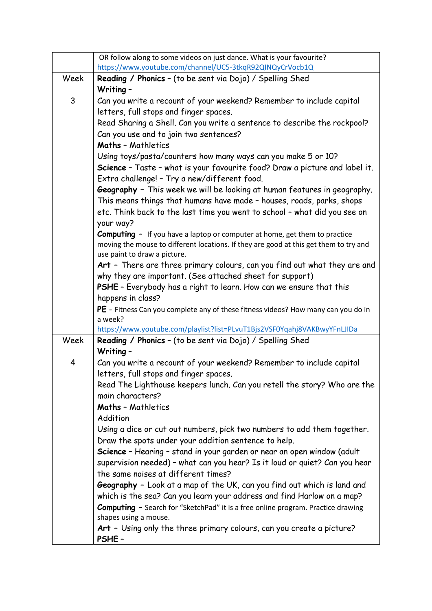|      | OR follow along to some videos on just dance. What is your favourite?                   |
|------|-----------------------------------------------------------------------------------------|
|      | https://www.youtube.com/channel/UC5-3tkqR92QINQyCrVocb1Q                                |
| Week | Reading / Phonics - (to be sent via Dojo) / Spelling Shed                               |
| 3    | Writing -                                                                               |
|      | Can you write a recount of your weekend? Remember to include capital                    |
|      | letters, full stops and finger spaces.                                                  |
|      | Read Sharing a Shell. Can you write a sentence to describe the rockpool?                |
|      | Can you use and to join two sentences?<br><b>Maths - Mathletics</b>                     |
|      | Using toys/pasta/counters how many ways can you make 5 or 10?                           |
|      | Science - Taste - what is your favourite food? Draw a picture and label it.             |
|      | Extra challenge! - Try a new/different food.                                            |
|      | Geography - This week we will be looking at human features in geography.                |
|      | This means things that humans have made - houses, roads, parks, shops                   |
|      | etc. Think back to the last time you went to school - what did you see on               |
|      | your way?                                                                               |
|      | <b>Computing</b> - If you have a laptop or computer at home, get them to practice       |
|      | moving the mouse to different locations. If they are good at this get them to try and   |
|      | use paint to draw a picture.                                                            |
|      | Art - There are three primary colours, can you find out what they are and               |
|      | why they are important. (See attached sheet for support)                                |
|      | PSHE - Everybody has a right to learn. How can we ensure that this                      |
|      | happens in class?                                                                       |
|      | PE - Fitness Can you complete any of these fitness videos? How many can you do in       |
|      | a week?<br>https://www.youtube.com/playlist?list=PLvuT1Bjs2VSF0Yqahj8VAKBwyYFnLJIDa     |
| Week | Reading / Phonics - (to be sent via Dojo) / Spelling Shed                               |
|      | Writing -                                                                               |
| 4    | Can you write a recount of your weekend? Remember to include capital                    |
|      | letters, full stops and finger spaces.                                                  |
|      | Read The Lighthouse keepers lunch. Can you retell the story? Who are the                |
|      | main characters?                                                                        |
|      | <b>Maths - Mathletics</b>                                                               |
|      | Addition                                                                                |
|      | Using a dice or cut out numbers, pick two numbers to add them together.                 |
|      | Draw the spots under your addition sentence to help.                                    |
|      | Science - Hearing - stand in your garden or near an open window (adult                  |
|      | supervision needed) - what can you hear? Is it loud or quiet? Can you hear              |
|      | the same noises at different times?                                                     |
|      | Geography - Look at a map of the UK, can you find out which is land and                 |
|      | which is the sea? Can you learn your address and find Harlow on a map?                  |
|      | <b>Computing</b> - Search for "SketchPad" it is a free online program. Practice drawing |
|      | shapes using a mouse.                                                                   |
|      | Art - Using only the three primary colours, can you create a picture?                   |
|      | PSHE-                                                                                   |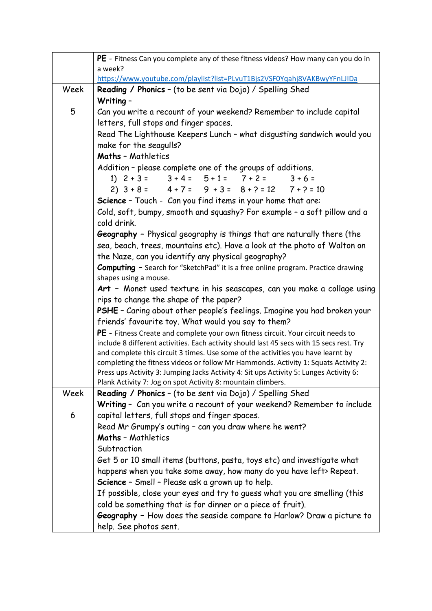|      | PE - Fitness Can you complete any of these fitness videos? How many can you do in<br>a week?                                                                                 |
|------|------------------------------------------------------------------------------------------------------------------------------------------------------------------------------|
|      | https://www.youtube.com/playlist?list=PLvuT1Bjs2VSF0Yqahj8VAKBwyYFnLJIDa                                                                                                     |
| Week | Reading / Phonics - (to be sent via Dojo) / Spelling Shed                                                                                                                    |
|      | Writing -                                                                                                                                                                    |
| 5    | Can you write a recount of your weekend? Remember to include capital                                                                                                         |
|      | letters, full stops and finger spaces.                                                                                                                                       |
|      | Read The Lighthouse Keepers Lunch - what disgusting sandwich would you                                                                                                       |
|      | make for the seagulls?                                                                                                                                                       |
|      | <b>Maths - Mathletics</b>                                                                                                                                                    |
|      | Addition - please complete one of the groups of additions.                                                                                                                   |
|      | 1) $2+3=$ $3+4=$ $5+1=$ $7+2=$ $3+6=$                                                                                                                                        |
|      | $2)$ $3+8=$ $4+7=$ $9+3=$ $8+7=12$ $7+7=10$                                                                                                                                  |
|      | Science - Touch - Can you find items in your home that are:                                                                                                                  |
|      | Cold, soft, bumpy, smooth and squashy? For example - a soft pillow and a                                                                                                     |
|      | cold drink.                                                                                                                                                                  |
|      | Geography - Physical geography is things that are naturally there (the                                                                                                       |
|      | sea, beach, trees, mountains etc). Have a look at the photo of Walton on                                                                                                     |
|      | the Naze, can you identify any physical geography?                                                                                                                           |
|      | Computing - Search for "SketchPad" it is a free online program. Practice drawing                                                                                             |
|      | shapes using a mouse.                                                                                                                                                        |
|      | Art - Monet used texture in his seascapes, can you make a collage using                                                                                                      |
|      | rips to change the shape of the paper?                                                                                                                                       |
|      | PSHE - Caring about other people's feelings. Imagine you had broken your                                                                                                     |
|      | friends' favourite toy. What would you say to them?                                                                                                                          |
|      | PE - Fitness Create and complete your own fitness circuit. Your circuit needs to                                                                                             |
|      | include 8 different activities. Each activity should last 45 secs with 15 secs rest. Try<br>and complete this circuit 3 times. Use some of the activities you have learnt by |
|      | completing the fitness videos or follow Mr Hammonds. Activity 1: Squats Activity 2:                                                                                          |
|      | Press ups Activity 3: Jumping Jacks Activity 4: Sit ups Activity 5: Lunges Activity 6:                                                                                       |
|      | Plank Activity 7: Jog on spot Activity 8: mountain climbers.                                                                                                                 |
| Week | Reading / Phonics - (to be sent via Dojo) / Spelling Shed                                                                                                                    |
|      | Writing - Can you write a recount of your weekend? Remember to include                                                                                                       |
| 6    | capital letters, full stops and finger spaces.                                                                                                                               |
|      | Read Mr Grumpy's outing - can you draw where he went?                                                                                                                        |
|      | <b>Maths - Mathletics</b>                                                                                                                                                    |
|      | Subtraction                                                                                                                                                                  |
|      | Get 5 or 10 small items (buttons, pasta, toys etc) and investigate what                                                                                                      |
|      | happens when you take some away, how many do you have left> Repeat.                                                                                                          |
|      | Science - Smell - Please ask a grown up to help.                                                                                                                             |
|      | If possible, close your eyes and try to guess what you are smelling (this                                                                                                    |
|      | cold be something that is for dinner or a piece of fruit).                                                                                                                   |
|      | Geography - How does the seaside compare to Harlow? Draw a picture to                                                                                                        |
|      | help. See photos sent.                                                                                                                                                       |